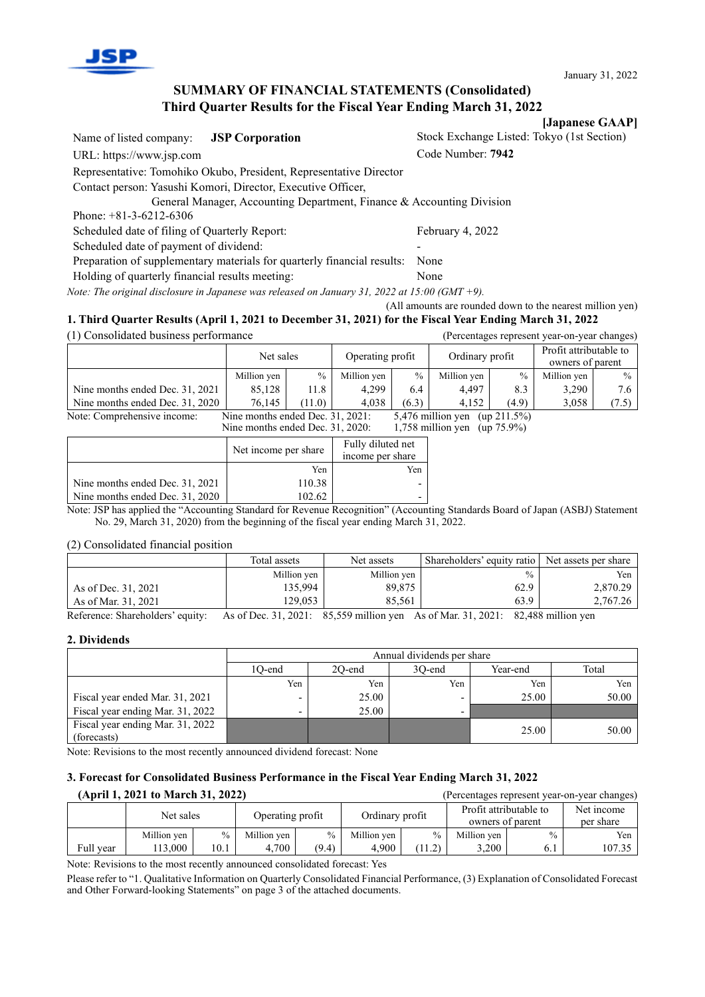

## **SUMMARY OF FINANCIAL STATEMENTS (Consolidated) Third Quarter Results for the Fiscal Year Ending March 31, 2022**

**[Japanese GAAP]** Name of listed company: **JSP Corporation** Stock Exchange Listed: Tokyo (1st Section) URL: https://www.jsp.com Code Number: **7942** Representative: Tomohiko Okubo, President, Representative Director Contact person: Yasushi Komori, Director, Executive Officer, General Manager, Accounting Department, Finance & Accounting Division Phone: +81-3-6212-6306 Scheduled date of filing of Quarterly Report: February 4, 2022 Scheduled date of payment of dividend: Preparation of supplementary materials for quarterly financial results: None Holding of quarterly financial results meeting: None

*Note: The original disclosure in Japanese was released on January 31, 2022 at 15:00 (GMT +9).*

(All amounts are rounded down to the nearest million yen) **1. Third Quarter Results (April 1, 2021 to December 31, 2021) for the Fiscal Year Ending March 31, 2022**

(1) Consolidated business performance (Percentages represent year-on-year changes)

|                                                                                                                                                                             | Net sales            |        | Operating profit                      |               | Ordinary profit |       | Profit attributable to<br>owners of parent |       |
|-----------------------------------------------------------------------------------------------------------------------------------------------------------------------------|----------------------|--------|---------------------------------------|---------------|-----------------|-------|--------------------------------------------|-------|
|                                                                                                                                                                             | Million yen          | $\%$   | Million yen                           | $\frac{0}{0}$ | Million yen     | $\%$  | Million yen                                | $\%$  |
| Nine months ended Dec. 31, 2021                                                                                                                                             | 85,128               | 11.8   | 4,299                                 | 6.4           | 4,497           | 8.3   | 3,290                                      | 7.6   |
| Nine months ended Dec. 31, 2020                                                                                                                                             | 76.145               | (11.0) | 4.038                                 | (6.3)         | 4,152           | (4.9) | 3,058                                      | (7.5) |
| Note: Comprehensive income:<br>Nine months ended Dec. 31, 2021:<br>5,476 million yen<br>(up 211.5%)<br>Nine months ended Dec. 31, 2020:<br>1,758 million yen (up $75.9\%$ ) |                      |        |                                       |               |                 |       |                                            |       |
|                                                                                                                                                                             | Net income per share |        | Fully diluted net<br>income per share |               |                 |       |                                            |       |
|                                                                                                                                                                             |                      | Yen    |                                       | Yen           |                 |       |                                            |       |
| Nine months ended Dec. 31, 2021                                                                                                                                             |                      | 110.38 | ۰                                     |               |                 |       |                                            |       |

Nine months ended Dec.  $31, 2020$  | 102.62 Note: JSP has applied the "Accounting Standard for Revenue Recognition" (Accounting Standards Board of Japan (ASBJ) Statement No. 29, March 31, 2020) from the beginning of the fiscal year ending March 31, 2022.

(2) Consolidated financial position

|                     | Total assets | Net assets  | Shareholders' equity ratio | Net assets per share |
|---------------------|--------------|-------------|----------------------------|----------------------|
|                     | Million yen  | Million yen | $\frac{0}{0}$              | Yen                  |
| As of Dec. 31, 2021 | 135,994      | 89,875      | 62.9                       | 2,870.29             |
| As of Mar. 31, 2021 | 129.053      | 85,561      | 63.9                       | 2,767.26             |

Reference: Shareholders' equity: As of Dec. 31, 2021: 85,559 million yen As of Mar. 31, 2021: 82,488 million yen

#### **2. Dividends**

|                                                 | Annual dividends per share |        |        |          |       |  |  |  |
|-------------------------------------------------|----------------------------|--------|--------|----------|-------|--|--|--|
|                                                 | 1O-end                     | 20-end | 30-end | Year-end | Total |  |  |  |
|                                                 | Yen                        | Yen    | Yen    | Yen      | Yen   |  |  |  |
| Fiscal year ended Mar. 31, 2021                 | $\overline{\phantom{0}}$   | 25.00  |        | 25.00    | 50.00 |  |  |  |
| Fiscal year ending Mar. 31, 2022                |                            | 25.00  |        |          |       |  |  |  |
| Fiscal year ending Mar. 31, 2022<br>(forecasts) |                            |        |        | 25.00    | 50.00 |  |  |  |

Note: Revisions to the most recently announced dividend forecast: None

# **3. Forecast for Consolidated Business Performance in the Fiscal Year Ending March 31, 2022**

| (April 1, 2021 to March 31, 2022) |             |                  |             |                 |             |                        | (Percentages represent year-on-year changes) |               |        |  |
|-----------------------------------|-------------|------------------|-------------|-----------------|-------------|------------------------|----------------------------------------------|---------------|--------|--|
|                                   | Net sales   | Operating profit |             | Ordinary profit |             | Profit attributable to |                                              | Net income    |        |  |
|                                   |             |                  |             |                 |             | owners of parent       |                                              | per share     |        |  |
|                                   | Million yen | $\%$             | Million yen | $\%$            | Million yen | $\%$                   | Million yen                                  | $\frac{0}{0}$ | Yen    |  |
| Full year                         | 13,000      | 10.1             | 4.700       | (9.4)           | 4.900       | (11.2)                 | 3,200                                        | 6.1           | 107.35 |  |

Note: Revisions to the most recently announced consolidated forecast: Yes

Please refer to "1. Qualitative Information on Quarterly Consolidated Financial Performance, (3) Explanation of Consolidated Forecast and Other Forward-looking Statements" on page 3 of the attached documents.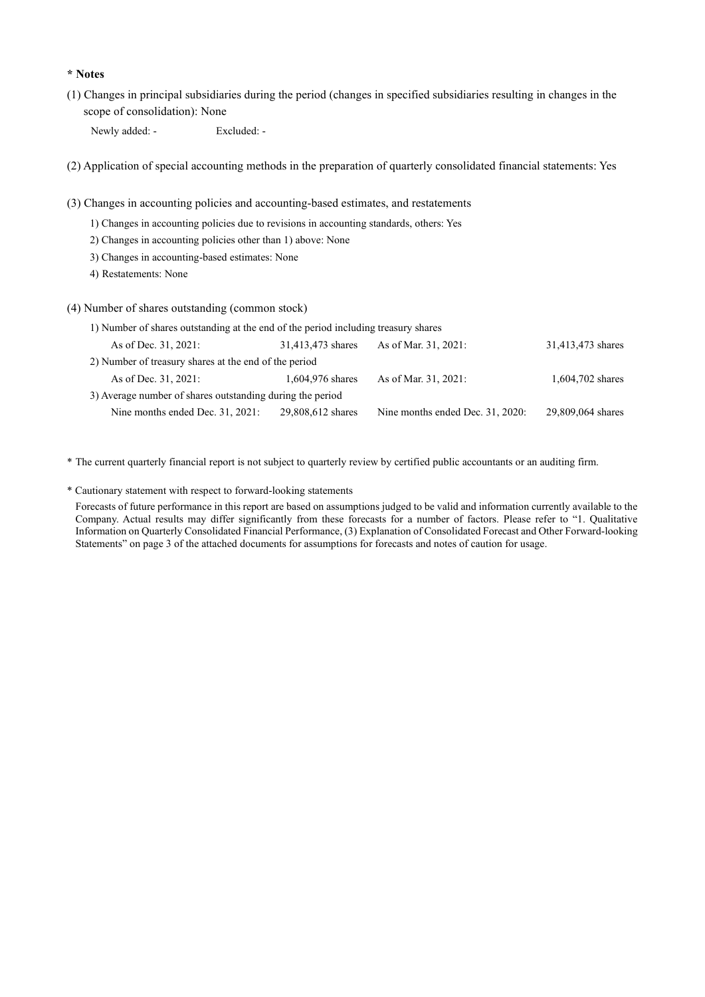#### **\* Notes**

(1) Changes in principal subsidiaries during the period (changes in specified subsidiaries resulting in changes in the scope of consolidation): None

Newly added: - Excluded: -

(2) Application of special accounting methods in the preparation of quarterly consolidated financial statements: Yes

(3) Changes in accounting policies and accounting-based estimates, and restatements

- 1) Changes in accounting policies due to revisions in accounting standards, others: Yes
- 2) Changes in accounting policies other than 1) above: None
- 3) Changes in accounting-based estimates: None
- 4) Restatements: None

(4) Number of shares outstanding (common stock)

| 1) Number of shares outstanding at the end of the period including treasury shares |                   |                                  |                   |
|------------------------------------------------------------------------------------|-------------------|----------------------------------|-------------------|
| As of Dec. 31, 2021:                                                               | 31,413,473 shares | As of Mar. 31, 2021:             | 31,413,473 shares |
| 2) Number of treasury shares at the end of the period                              |                   |                                  |                   |
| As of Dec. 31, 2021:                                                               | 1,604,976 shares  | As of Mar. 31, 2021:             | 1,604,702 shares  |
| 3) Average number of shares outstanding during the period                          |                   |                                  |                   |
| Nine months ended Dec. 31, 2021:                                                   | 29,808,612 shares | Nine months ended Dec. 31, 2020: | 29,809,064 shares |

\* The current quarterly financial report is not subject to quarterly review by certified public accountants or an auditing firm.

\* Cautionary statement with respect to forward-looking statements

Forecasts of future performance in this report are based on assumptions judged to be valid and information currently available to the Company. Actual results may differ significantly from these forecasts for a number of factors. Please refer to "1. Qualitative Information on Quarterly Consolidated Financial Performance, (3) Explanation of Consolidated Forecast and Other Forward-looking Statements" on page 3 of the attached documents for assumptions for forecasts and notes of caution for usage.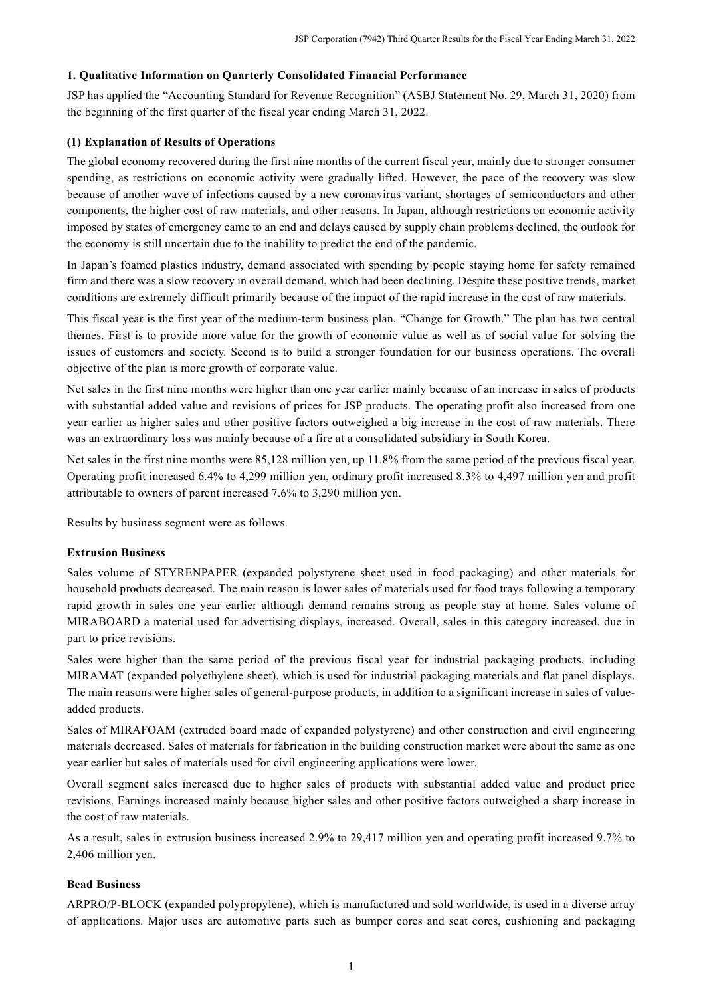## **1. Qualitative Information on Quarterly Consolidated Financial Performance**

JSP has applied the "Accounting Standard for Revenue Recognition" (ASBJ Statement No. 29, March 31, 2020) from the beginning of the first quarter of the fiscal year ending March 31, 2022.

### **(1) Explanation of Results of Operations**

The global economy recovered during the first nine months of the current fiscal year, mainly due to stronger consumer spending, as restrictions on economic activity were gradually lifted. However, the pace of the recovery was slow because of another wave of infections caused by a new coronavirus variant, shortages of semiconductors and other components, the higher cost of raw materials, and other reasons. In Japan, although restrictions on economic activity imposed by states of emergency came to an end and delays caused by supply chain problems declined, the outlook for the economy is still uncertain due to the inability to predict the end of the pandemic.

In Japan's foamed plastics industry, demand associated with spending by people staying home for safety remained firm and there was a slow recovery in overall demand, which had been declining. Despite these positive trends, market conditions are extremely difficult primarily because of the impact of the rapid increase in the cost of raw materials.

This fiscal year is the first year of the medium-term business plan, "Change for Growth." The plan has two central themes. First is to provide more value for the growth of economic value as well as of social value for solving the issues of customers and society. Second is to build a stronger foundation for our business operations. The overall objective of the plan is more growth of corporate value.

Net sales in the first nine months were higher than one year earlier mainly because of an increase in sales of products with substantial added value and revisions of prices for JSP products. The operating profit also increased from one year earlier as higher sales and other positive factors outweighed a big increase in the cost of raw materials. There was an extraordinary loss was mainly because of a fire at a consolidated subsidiary in South Korea.

Net sales in the first nine months were 85,128 million yen, up 11.8% from the same period of the previous fiscal year. Operating profit increased 6.4% to 4,299 million yen, ordinary profit increased 8.3% to 4,497 million yen and profit attributable to owners of parent increased 7.6% to 3,290 million yen.

Results by business segment were as follows.

#### **Extrusion Business**

Sales volume of STYRENPAPER (expanded polystyrene sheet used in food packaging) and other materials for household products decreased. The main reason is lower sales of materials used for food trays following a temporary rapid growth in sales one year earlier although demand remains strong as people stay at home. Sales volume of MIRABOARD a material used for advertising displays, increased. Overall, sales in this category increased, due in part to price revisions.

Sales were higher than the same period of the previous fiscal year for industrial packaging products, including MIRAMAT (expanded polyethylene sheet), which is used for industrial packaging materials and flat panel displays. The main reasons were higher sales of general-purpose products, in addition to a significant increase in sales of valueadded products.

Sales of MIRAFOAM (extruded board made of expanded polystyrene) and other construction and civil engineering materials decreased. Sales of materials for fabrication in the building construction market were about the same as one year earlier but sales of materials used for civil engineering applications were lower.

Overall segment sales increased due to higher sales of products with substantial added value and product price revisions. Earnings increased mainly because higher sales and other positive factors outweighed a sharp increase in the cost of raw materials.

As a result, sales in extrusion business increased 2.9% to 29,417 million yen and operating profit increased 9.7% to 2,406 million yen.

#### **Bead Business**

ARPRO/P-BLOCK (expanded polypropylene), which is manufactured and sold worldwide, is used in a diverse array of applications. Major uses are automotive parts such as bumper cores and seat cores, cushioning and packaging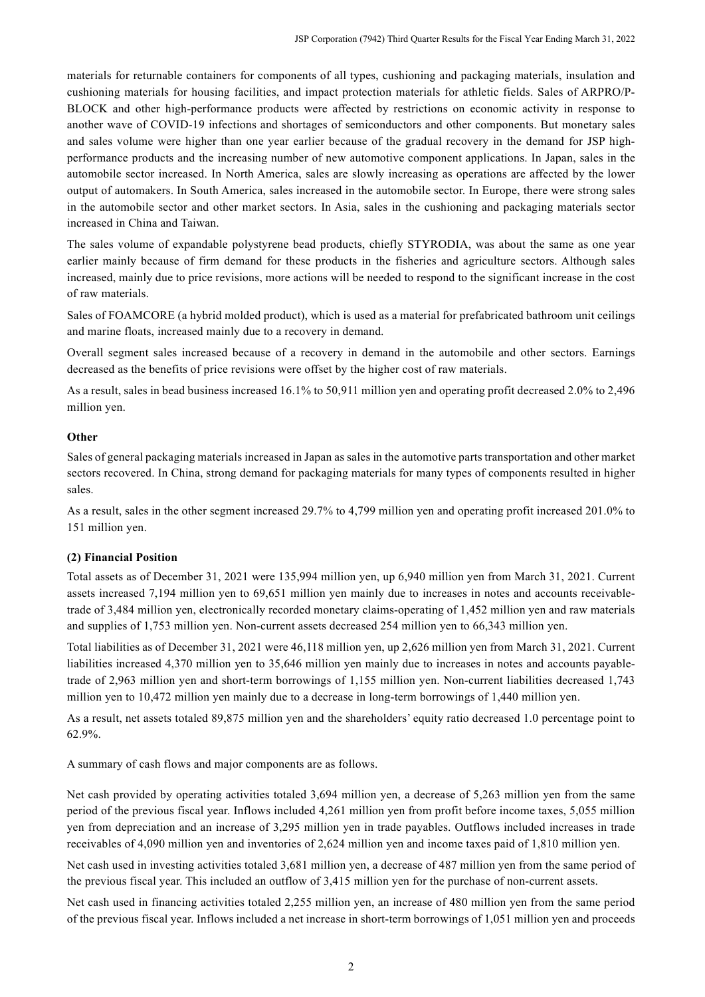materials for returnable containers for components of all types, cushioning and packaging materials, insulation and cushioning materials for housing facilities, and impact protection materials for athletic fields. Sales of ARPRO/P-BLOCK and other high-performance products were affected by restrictions on economic activity in response to another wave of COVID-19 infections and shortages of semiconductors and other components. But monetary sales and sales volume were higher than one year earlier because of the gradual recovery in the demand for JSP highperformance products and the increasing number of new automotive component applications. In Japan, sales in the automobile sector increased. In North America, sales are slowly increasing as operations are affected by the lower output of automakers. In South America, sales increased in the automobile sector. In Europe, there were strong sales in the automobile sector and other market sectors. In Asia, sales in the cushioning and packaging materials sector increased in China and Taiwan.

The sales volume of expandable polystyrene bead products, chiefly STYRODIA, was about the same as one year earlier mainly because of firm demand for these products in the fisheries and agriculture sectors. Although sales increased, mainly due to price revisions, more actions will be needed to respond to the significant increase in the cost of raw materials.

Sales of FOAMCORE (a hybrid molded product), which is used as a material for prefabricated bathroom unit ceilings and marine floats, increased mainly due to a recovery in demand.

Overall segment sales increased because of a recovery in demand in the automobile and other sectors. Earnings decreased as the benefits of price revisions were offset by the higher cost of raw materials.

As a result, sales in bead business increased 16.1% to 50,911 million yen and operating profit decreased 2.0% to 2,496 million yen.

#### **Other**

Sales of general packaging materials increased in Japan as sales in the automotive parts transportation and other market sectors recovered. In China, strong demand for packaging materials for many types of components resulted in higher sales.

As a result, sales in the other segment increased 29.7% to 4,799 million yen and operating profit increased 201.0% to 151 million yen.

#### **(2) Financial Position**

Total assets as of December 31, 2021 were 135,994 million yen, up 6,940 million yen from March 31, 2021. Current assets increased 7,194 million yen to 69,651 million yen mainly due to increases in notes and accounts receivabletrade of 3,484 million yen, electronically recorded monetary claims-operating of 1,452 million yen and raw materials and supplies of 1,753 million yen. Non-current assets decreased 254 million yen to 66,343 million yen.

Total liabilities as of December 31, 2021 were 46,118 million yen, up 2,626 million yen from March 31, 2021. Current liabilities increased 4,370 million yen to 35,646 million yen mainly due to increases in notes and accounts payabletrade of 2,963 million yen and short-term borrowings of 1,155 million yen. Non-current liabilities decreased 1,743 million yen to 10,472 million yen mainly due to a decrease in long-term borrowings of 1,440 million yen.

As a result, net assets totaled 89,875 million yen and the shareholders' equity ratio decreased 1.0 percentage point to 62.9%.

A summary of cash flows and major components are as follows.

Net cash provided by operating activities totaled 3,694 million yen, a decrease of 5,263 million yen from the same period of the previous fiscal year. Inflows included 4,261 million yen from profit before income taxes, 5,055 million yen from depreciation and an increase of 3,295 million yen in trade payables. Outflows included increases in trade receivables of 4,090 million yen and inventories of 2,624 million yen and income taxes paid of 1,810 million yen.

Net cash used in investing activities totaled 3,681 million yen, a decrease of 487 million yen from the same period of the previous fiscal year. This included an outflow of 3,415 million yen for the purchase of non-current assets.

Net cash used in financing activities totaled 2,255 million yen, an increase of 480 million yen from the same period of the previous fiscal year. Inflows included a net increase in short-term borrowings of 1,051 million yen and proceeds